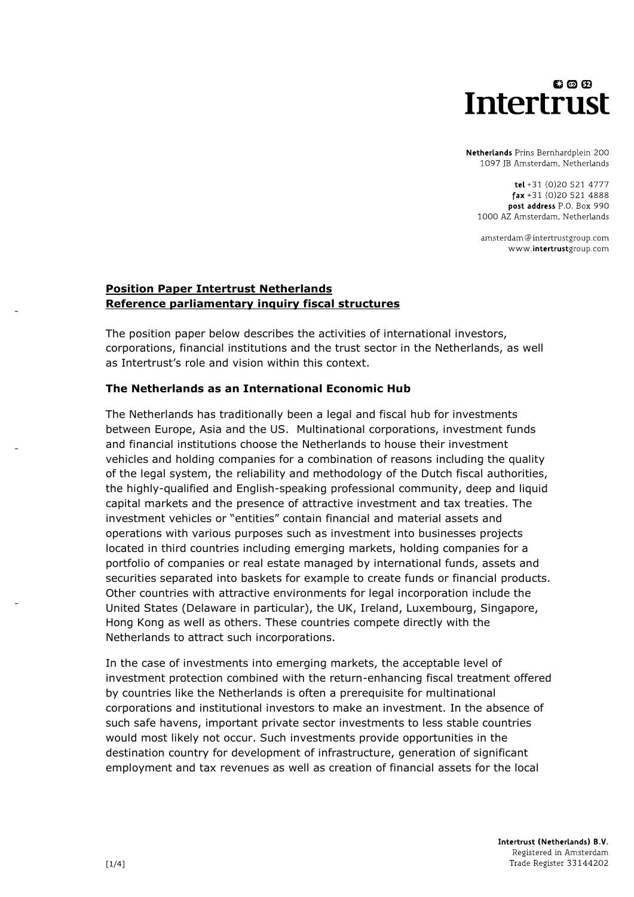## 00 C **Intertrust**

Netherlands Prins Bernhardplein 200 1097 JB Amsterdam, Netherlands

tel +31 (0)20 521 4777  $\textbf{fax} + 31$  (0)20 521 4888 post address P.O. Box 990 1000 AZ Amsterdam, Netherlands

amsterdam@intertrustgroup.com www.intertrustgroup.com

## **Position Paper Intertrust Netherlands Reference parliamentary inquiry fiscal structures**

The position paper below describes the activities of international investors, corporations, financial institutions and the trust sector in the Netherlands, as well as Intertrust's role and vision within this context.

## **The Netherlands as an International Economic Hub**

The Netherlands has traditionally been a legal and fiscal hub for investments between Europe, Asia and the US. Multinational corporations, investment funds and financial institutions choose the Netherlands to house their investment vehicles and holding companies for a combination of reasons including the quality of the legal system, the reliability and methodology of the Dutch fiscal authorities, the highly-qualified and English-speaking professional community, deep and liquid capital markets and the presence of attractive investment and tax treaties. The investment vehicles or "entities" contain financial and material assets and operations with various purposes such as investment into businesses projects located in third countries including emerging markets, holding companies for a portfolio of companies or real estate managed by international funds, assets and securities separated into baskets for example to create funds or financial products. Other countries with attractive environments for legal incorporation include the United States (Delaware in particular), the UK, Ireland, Luxembourg, Singapore, Hong Kong as well as others. These countries compete directly with the Netherlands to attract such incorporations.

In the case of investments into emerging markets, the acceptable level of investment protection combined with the return-enhancing fiscal treatment offered by countries like the Netherlands is often a prerequisite for multinational corporations and institutional investors to make an investment. In the absence of such safe havens, important private sector investments to less stable countries would most likely not occur. Such investments provide opportunities in the destination country for development of infrastructure, generation of significant employment and tax revenues as well as creation of financial assets for the local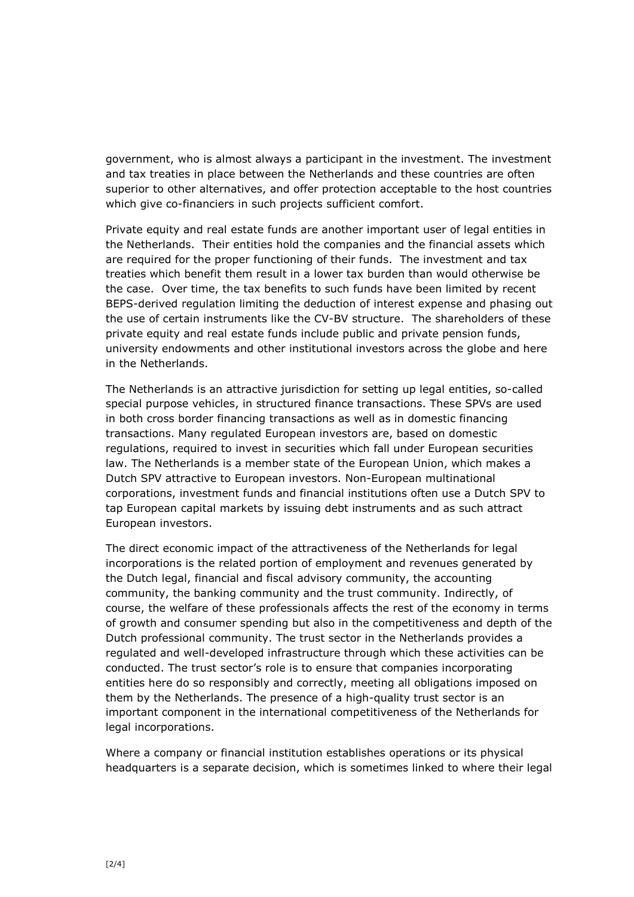government, who is almost always a participant in the investment. The investment and tax treaties in place between the Netherlands and these countries are often superior to other alternatives, and offer protection acceptable to the host countries which give co-financiers in such projects sufficient comfort.

Private equity and real estate funds are another important user of legal entities in the Netherlands. Their entities hold the companies and the financial assets which are required for the proper functioning of their funds. The investment and tax treaties which benefit them result in a lower tax burden than would otherwise be the case. Over time, the tax benefits to such funds have been limited by recent BEPS-derived regulation limiting the deduction of interest expense and phasing out the use of certain instruments like the CV-BV structure. The shareholders of these private equity and real estate funds include public and private pension funds, university endowments and other institutional investors across the globe and here in the Netherlands.

The Netherlands is an attractive jurisdiction for setting up legal entities, so-called special purpose vehicles, in structured finance transactions. These SPVs are used in both cross border financing transactions as well as in domestic financing transactions. Many regulated European investors are, based on domestic regulations, required to invest in securities which fall under European securities law. The Netherlands is a member state of the European Union, which makes a Dutch SPV attractive to European investors. Non-European multinational corporations, investment funds and financial institutions often use a Dutch SPV to tap European capital markets by issuing debt instruments and as such attract European investors.

The direct economic impact of the attractiveness of the Netherlands for legal incorporations is the related portion of employment and revenues generated by the Dutch legal, financial and fiscal advisory community, the accounting community, the banking community and the trust community. Indirectly, of course, the welfare of these professionals affects the rest of the economy in terms of growth and consumer spending but also in the competitiveness and depth of the Dutch professional community. The trust sector in the Netherlands provides a regulated and well-developed infrastructure through which these activities can be conducted. The trust sector's role is to ensure that companies incorporating entities here do so responsibly and correctly, meeting all obligations imposed on them by the Netherlands. The presence of a high-quality trust sector is an important component in the international competitiveness of the Netherlands for legal incorporations.

Where a company or financial institution establishes operations or its physical headquarters is a separate decision, which is sometimes linked to where their legal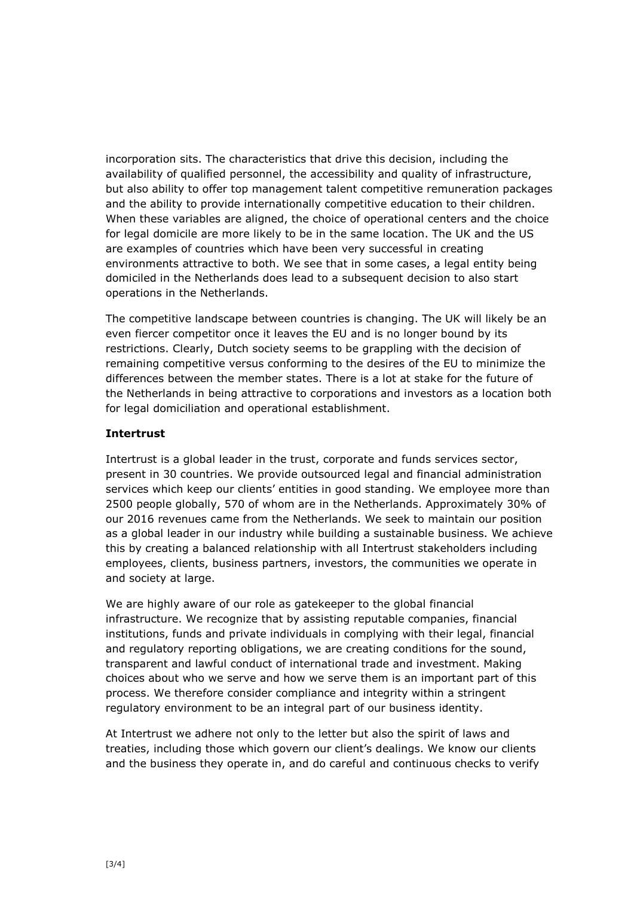incorporation sits. The characteristics that drive this decision, including the availability of qualified personnel, the accessibility and quality of infrastructure, but also ability to offer top management talent competitive remuneration packages and the ability to provide internationally competitive education to their children. When these variables are aligned, the choice of operational centers and the choice for legal domicile are more likely to be in the same location. The UK and the US are examples of countries which have been very successful in creating environments attractive to both. We see that in some cases, a legal entity being domiciled in the Netherlands does lead to a subsequent decision to also start operations in the Netherlands.

The competitive landscape between countries is changing. The UK will likely be an even fiercer competitor once it leaves the EU and is no longer bound by its restrictions. Clearly, Dutch society seems to be grappling with the decision of remaining competitive versus conforming to the desires of the EU to minimize the differences between the member states. There is a lot at stake for the future of the Netherlands in being attractive to corporations and investors as a location both for legal domiciliation and operational establishment.

## **Intertrust**

Intertrust is a global leader in the trust, corporate and funds services sector, present in 30 countries. We provide outsourced legal and financial administration services which keep our clients' entities in good standing. We employee more than 2500 people globally, 570 of whom are in the Netherlands. Approximately 30% of our 2016 revenues came from the Netherlands. We seek to maintain our position as a global leader in our industry while building a sustainable business. We achieve this by creating a balanced relationship with all Intertrust stakeholders including employees, clients, business partners, investors, the communities we operate in and society at large.

We are highly aware of our role as gatekeeper to the global financial infrastructure. We recognize that by assisting reputable companies, financial institutions, funds and private individuals in complying with their legal, financial and regulatory reporting obligations, we are creating conditions for the sound, transparent and lawful conduct of international trade and investment. Making choices about who we serve and how we serve them is an important part of this process. We therefore consider compliance and integrity within a stringent regulatory environment to be an integral part of our business identity.

At Intertrust we adhere not only to the letter but also the spirit of laws and treaties, including those which govern our client's dealings. We know our clients and the business they operate in, and do careful and continuous checks to verify